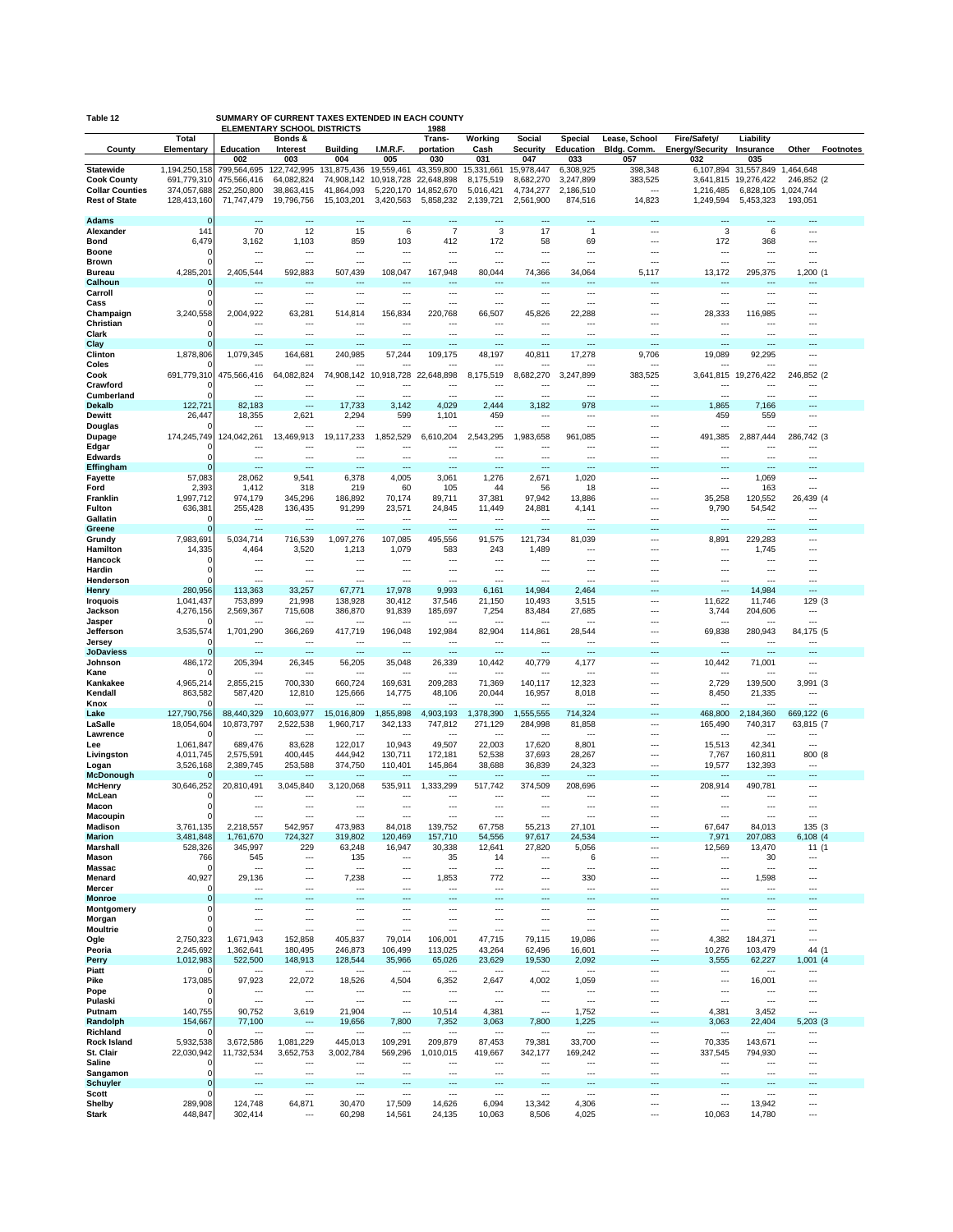| Table 12                                     |                            |                            | SUMMARY OF CURRENT TAXES EXTENDED IN EACH COUNTY<br><b>ELEMENTARY SCHOOL DISTRICTS</b> |                                    |                                    | 1988                                  |                                |                           |                        |                              |                                        |                                |                          |                  |
|----------------------------------------------|----------------------------|----------------------------|----------------------------------------------------------------------------------------|------------------------------------|------------------------------------|---------------------------------------|--------------------------------|---------------------------|------------------------|------------------------------|----------------------------------------|--------------------------------|--------------------------|------------------|
| County                                       | Total<br>Elementary        | <b>Education</b>           | Bonds &<br>Interest                                                                    | <b>Building</b>                    | I.M.R.F.                           | Trans-<br>portation                   | Working<br>Cash                | Social<br><b>Security</b> | Special<br>Education   | Lease, School<br>Bldg. Comm. | Fire/Safety/<br><b>Energy/Security</b> | Liability<br>Insurance         | Other                    | <b>Footnotes</b> |
|                                              |                            | 002                        | 003                                                                                    | 004                                | 005                                | 030                                   | 031                            | 047                       | 033                    | 057                          | 032                                    | 035                            |                          |                  |
| <b>Statewide</b>                             | 1,194,250,158              | 799,564,695                | 122,742,995                                                                            | 131,875,436                        | 19,559,461                         | 43,359,800                            | 15,331,661                     | 15,978,447                | 6,308,925              | 398,348                      | 6,107,894                              | 31,557,849                     | 1,464,648                |                  |
| <b>Cook County</b><br><b>Collar Counties</b> | 691,779,310<br>374,057,688 | 475,566,416<br>252,250,800 | 64,082,824<br>38,863,415                                                               | 74,908,142<br>41,864,093           | 10,918,728<br>5,220,170            | 22,648,898<br>14,852,670              | 8,175,519<br>5,016,421         | 8,682,270<br>4,734,277    | 3,247,899<br>2,186,510 | 383,525<br>$--$              | 3,641,815<br>1,216,485                 | 19,276,422<br>6,828,105        | 246,852 (2)<br>1,024,744 |                  |
| <b>Rest of State</b>                         | 128,413,160                | 71,747,479                 | 19,796,756                                                                             | 15,103,201                         | 3,420,563                          | 5,858,232                             | 2,139,721                      | 2,561,900                 | 874,516                | 14,823                       | 1,249,594                              | 5,453,323                      | 193,051                  |                  |
|                                              |                            | ---                        |                                                                                        | ---                                | $\overline{a}$                     | $\overline{a}$                        |                                | ---                       | ---                    |                              | ---                                    | $\overline{a}$                 | ---                      |                  |
| Adams<br>Alexander                           | $\Omega$<br>141            | 70                         | 12                                                                                     | 15                                 | 6                                  | $\overline{7}$                        | 3                              | 17                        | $\overline{1}$         | Ξ.                           | 3                                      | 6                              |                          |                  |
| <b>Bond</b>                                  | 6,479                      | 3,162                      | 1,103                                                                                  | 859                                | 103                                | 412                                   | 172                            | 58                        | 69                     | ⊷                            | 172                                    | 368                            | ---                      |                  |
| Boone                                        | ∩                          | ---                        | ---                                                                                    | $- - -$                            | ---                                | $---$                                 | ---                            | ---                       | ---                    | ---                          | $\overline{\phantom{a}}$               | ---                            | ---                      |                  |
| <b>Brown</b><br>Bureau                       | 4,285,201                  | 2,405,544                  | 592,883                                                                                | ---<br>507,439                     | ---<br>108,047                     | ---<br>167,948                        | ---<br>80,044                  | ---<br>74,366             | ---<br>34,064          | 5,117                        | ---<br>13,172                          | ---<br>295,375                 | ---<br>1,200 (1          |                  |
| Calhoun                                      | 0                          |                            |                                                                                        |                                    |                                    |                                       |                                | ---                       |                        | ÷.                           |                                        |                                |                          |                  |
| Carroll                                      | $\Omega$                   | ---                        |                                                                                        | ---                                | ---                                | $---$                                 | ---                            |                           | ---                    |                              | $\sim$                                 | $---$                          | ---                      |                  |
| Cass<br>Champaign                            | ∩<br>3,240,558             | ---<br>2,004,922           | ---<br>63,281                                                                          | ---<br>514,814                     | ---<br>156,834                     | $\overline{a}$<br>220,768             | ---<br>66,507                  | ---<br>45,826             | ---<br>22,288          | ---                          | $\cdots$<br>28,333                     | ---<br>116,985                 | ---                      |                  |
| Christian                                    |                            | $\sim$                     | ---                                                                                    | ---                                | ---                                | $\overline{a}$                        | ---                            | $---$                     | ---                    |                              | $\overline{\phantom{a}}$               | ---                            |                          |                  |
| Clark                                        | 0                          |                            | …                                                                                      | ---                                |                                    | ---                                   |                                |                           |                        | Ξ.                           | ---                                    |                                |                          |                  |
| Clay<br>Clinton                              | 1,878,806                  | $---$<br>1,079,345         | <br>164,681                                                                            | ---<br>240,985                     | ---<br>57,244                      | $---$<br>109,175                      | <br>48,197                     | ---<br>40,811             | ---<br>17,278          | ٠.,<br>9,706                 | $\overline{\phantom{a}}$<br>19,089     | ---<br>92,295                  | ---<br>---               |                  |
| Coles                                        |                            |                            |                                                                                        |                                    |                                    |                                       |                                |                           |                        |                              |                                        |                                |                          |                  |
| Cook                                         | 691,779,310                | 475,566,416                | 64,082,824                                                                             | 74,908,142                         | 10,918,728                         | 22,648,898                            | 8,175,519                      | 8,682,270                 | 3,247,899              | 383,525                      | 3,641,815                              | 19,276,422                     | 246,852 (2               |                  |
| Crawford                                     |                            |                            | -−∙<br>                                                                                | ---<br>---                         | <br>---                            | ---<br>---                            | ---                            | ---<br>---                | ---<br>---             | <br>$\overline{a}$           | ---                                    | ---<br>---                     | ---                      |                  |
| Cumberland<br><b>Dekalb</b>                  | 122,721                    | <br>82,183                 | ---                                                                                    | 17,733                             | 3,142                              | 4,029                                 | 2,444                          | 3,182                     | 978                    |                              | 1,865                                  | 7,166                          |                          |                  |
| <b>Dewitt</b>                                | 26,447                     | 18,355                     | 2,621                                                                                  | 2,294                              | 599                                | 1,101                                 | 459                            | ---                       | ---                    | ---                          | 459                                    | 559                            | ---                      |                  |
| Douglas                                      |                            |                            | --                                                                                     | ---                                |                                    |                                       | ---                            | ---                       | ---                    |                              | $\sim$                                 | ---                            | ---                      |                  |
| Dupage<br>Edgar                              | 174,245,749<br>C           | 124,042,261<br>$\cdots$    | 13,469,913<br>٠.,                                                                      | 19,117,233<br>---                  | 1,852,529<br>---                   | 6,610,204<br>$\overline{\phantom{a}}$ | 2,543,295<br>                  | 1,983,658<br>---          | 961,085<br>---         | <br>⊷                        | 491,385<br>$\overline{\phantom{a}}$    | 2,887,444<br>---               | 286,742 (3<br>           |                  |
| Edwards                                      | $\Omega$                   | ---                        | ---                                                                                    | ---                                | $\sim$                             | $\overline{a}$                        | ---                            | ---                       | ---                    | ---                          | $\cdots$                               | ---                            | ---                      |                  |
| Effingham                                    | 0                          |                            | Ξ.                                                                                     | ---                                | щ.                                 | ---                                   |                                | ---                       |                        |                              | ---                                    |                                |                          |                  |
| <b>Fayette</b><br>Ford                       | 57,083<br>2,393            | 28,062<br>1,412            | 9,541<br>318                                                                           | 6,378<br>219                       | 4,005<br>60                        | 3,061<br>105                          | 1,276<br>44                    | 2,671<br>56               | 1,020<br>18            | $\cdots$<br>…                | $\cdots$<br>$\sim$                     | 1,069<br>163                   | ---<br>---               |                  |
| Franklin                                     | 1,997,712                  | 974,179                    | 345,296                                                                                | 186,892                            | 70,174                             | 89,711                                | 37,381                         | 97,942                    | 13,886                 | ---                          | 35,258                                 | 120,552                        | 26,439 (4                |                  |
| Fulton                                       | 636,381                    | 255,428                    | 136,435                                                                                | 91,299                             | 23,571                             | 24,845                                | 11,449                         | 24,881                    | 4,141                  |                              | 9,790                                  | 54,542                         | ---                      |                  |
| Gallatin                                     | 0<br>∩                     | $\sim$                     | <br>---                                                                                | ---<br>---                         | ---<br>                            | ---<br>---                            | <br>                           | ---<br>$\sim$             | Ξ.                     |                              | $\overline{\phantom{a}}$<br>$\ddotsc$  | $\overline{a}$                 |                          |                  |
| Greene<br>Grundy                             | 7,983,691                  | 5,034,714                  | 716,539                                                                                | 1,097,276                          | 107,085                            | 495,556                               | 91,575                         | 121,734                   | 81,039                 |                              | 8,891                                  | 229,283                        |                          |                  |
| Hamilton                                     | 14,335                     | 4,464                      | 3,520                                                                                  | 1,213                              | 1,079                              | 583                                   | 243                            | 1,489                     | ---                    | ⊷                            | $\ddotsc$                              | 1,745                          | ---                      |                  |
| Hancock<br>Hardin                            | 0<br>0                     | $\sim$                     | ---<br>                                                                                | ---<br>---                         | ---<br>---                         | $---$<br>---                          | ---<br>                        | ---<br>---                | ---<br>---             |                              | $\ddotsc$<br>$\overline{\phantom{a}}$  | ---                            | ---                      |                  |
| Henderson                                    |                            | ---                        | $\sim$                                                                                 | ---                                | ---                                | $\sim$                                | ---                            | $\sim$                    | $\sim$                 |                              | $\ddotsc$                              | ---                            | ---                      |                  |
| Henry                                        | 280,956                    | 113,363                    | 33,257                                                                                 | 67,771                             | 17,978                             | 9,993                                 | 6,161                          | 14,984                    | 2,464                  |                              |                                        | 14,984                         | ---                      |                  |
| <b>Iroquois</b>                              | 1,041,437                  | 753,899                    | 21,998                                                                                 | 138,928                            | 30,412                             | 37,546                                | 21,150                         | 10,493                    | 3,515                  |                              | 11,622                                 | 11,746                         | 129 (3                   |                  |
| Jackson<br>Jasper                            | 4,276,156                  | 2,569,367                  | 715,608                                                                                | 386,870<br>---                     | 91,839                             | 185,697                               | 7,254                          | 83,484                    | 27,685                 | <br>                         | 3,744                                  | 204,606                        | ---                      |                  |
| Jefferson                                    | 3,535,574                  | 1,701,290                  | 366,269                                                                                | 417,719                            | 196,048                            | 192,984                               | 82,904                         | 114,861                   | 28,544                 |                              | 69,838                                 | 280,943                        | 84,175 (5                |                  |
| Jersey                                       | C                          |                            | ---                                                                                    | ---                                |                                    | ---                                   |                                | ---                       |                        | Ξ.                           | $\ddotsc$                              | ---                            |                          |                  |
| <b>JoDaviess</b><br>Johnson                  | 486,172                    | <br>205,394                | $\overline{\phantom{a}}$<br>26,345                                                     | $\overline{\phantom{a}}$<br>56,205 | $\overline{\phantom{a}}$<br>35,048 | $\overline{\phantom{a}}$<br>26,339    | ---<br>10,442                  | ---<br>40,779             | ---<br>4,177           | <br>$\cdots$                 | $\overline{\phantom{a}}$<br>10,442     | ---<br>71,001                  | ---<br>---               |                  |
| Kane                                         |                            |                            |                                                                                        |                                    |                                    |                                       |                                |                           |                        | ш,                           |                                        |                                |                          |                  |
| Kankakee                                     | 4,965,214                  | 2,855,215                  | 700,330                                                                                | 660,724                            | 169,631                            | 209,283                               | 71,369                         | 140,117                   | 12,323                 | ---                          | 2,729                                  | 139,500                        | 3,991 (3                 |                  |
| Kendall<br>Knox                              | 863,582                    | 587,420<br>$\cdots$        | 12,810<br>---                                                                          | 125,666<br>---                     | 14,775<br>$- - -$                  | 48,106<br>$---$                       | 20,044<br>---                  | 16,957<br>---             | 8,018<br>---           | <br>                         | 8,450<br>$\overline{\phantom{a}}$      | 21,335<br>---                  | ---                      |                  |
| Lake                                         | 127,790,756                | 88,440,329                 | 10,603,977                                                                             | 15,016,809                         | ,855,898                           | 4,903,193                             | 1,378,390                      | 1,555,555                 | 714,324                |                              | 468,800                                | 2,184,360                      | 669,122 (6               |                  |
| LaSalle                                      | 18,054,604                 | 10,873,797                 | 2,522,538                                                                              | 1,960,717                          | 342,133                            | 747,812                               | 271,129                        | 284,998                   | 81,858                 | $\cdots$                     | 165,490                                | 740,317                        | 63,815 (7                |                  |
| Lawrence<br>Lee                              | 1,061,847                  | $\sim$<br>689,476          | $\ddotsc$<br>83,628                                                                    | ---<br>122,017                     | $---$<br>10,943                    | $---$<br>49,507                       | ---<br>22,003                  | $---$<br>17,620           | ---<br>8,801           | <br>                         | $\sim$<br>15,513                       | $- - -$<br>42,341              | ---<br>---               |                  |
| Livingston                                   | 4,011,745                  | 2,575,591                  | 400,445                                                                                | 444,942                            | 130,711                            | 172,181                               | 52,538                         | 37,693                    | 28,267                 | ---                          | 7,767                                  | 160,811                        | 800 (8                   |                  |
| Logan                                        | 3,526,168                  | 2,389,745                  | 253,588                                                                                | 374,750                            | 110,401                            | 145,864                               | 38,688                         | 36,839                    | 24,323                 | $\sim$                       | 19,577                                 | 132,393                        | ---                      |                  |
| <b>McDonough</b><br>McHenry                  | 30,646,252                 | 20,810,491                 | 3,045,840                                                                              | 3,120,068                          | 535,911                            | 1,333,299                             | 517,742                        | 374,509                   | 208,696                | $\cdots$                     | 208,914                                | 490,781                        | ---                      |                  |
| McLean                                       | C                          |                            |                                                                                        | ---                                |                                    |                                       |                                |                           |                        | Ξ.                           |                                        |                                |                          |                  |
| Macon                                        | $\mathbf 0$                | ---                        | ---                                                                                    | ---                                | $---$                              | $---$                                 |                                | ---                       | ---                    | ---                          | $\overline{a}$                         | ---                            | ---                      |                  |
| Macoupin<br><b>Madison</b>                   | 3,761,135                  | 2,218,557                  | 542,957                                                                                | ---<br>473,983                     | 84,018                             | $---$<br>139,752                      | 67,758                         | 55,213                    | ---<br>27,101          | ---                          | <br>67,647                             | 84,013                         | 135 (3)                  |                  |
| <b>Marion</b>                                | 3,481,848                  | 1,761,670                  | 724,327                                                                                | 319,802                            | 120,469                            | 157,710                               | 54,556                         | 97,617                    | 24,534                 |                              | 7,971                                  | 207,083                        | 6,108 (4                 |                  |
| Marshall                                     | 528,326                    | 345,997                    | 229                                                                                    | 63,248                             | 16,947                             | 30,338                                | 12,641                         | 27,820                    | 5,056                  |                              | 12,569                                 | 13,470                         | 11 (1                    |                  |
| Mason<br>Massac                              | 766<br>0                   | 545<br>$\cdots$            | ---<br>$\cdots$                                                                        | 135<br>$\overline{\phantom{a}}$    | $\ddotsc$<br>$\sim$                | 35<br>$\overline{a}$                  | 14<br>$\overline{\phantom{a}}$ | <br>---                   | 6<br>---               | ---<br>---                   | $\cdots$<br>$\cdots$                   | 30<br>$\overline{\phantom{a}}$ | <br>---                  |                  |
| Menard                                       | 40,927                     | 29,136                     |                                                                                        | 7,238                              | ---                                | 1,853                                 | 772                            | ---                       | 330                    |                              | $\overline{\phantom{a}}$               | 1,598                          |                          |                  |
| Mercer                                       | 0                          | ---                        | ---                                                                                    | $\overline{\phantom{a}}$           | $\sim$                             | $\overline{a}$                        | ---                            | ---                       | ---                    |                              | $\ddotsc$                              | ---                            | ---                      |                  |
| <b>Monroe</b><br>Montgomery                  | 0<br>$\Omega$              |                            | ш,<br>---                                                                              | <br>---                            | <br>$\overline{\phantom{a}}$       | ---<br>$\cdots$                       | <br>---                        | <br>---                   | ω,<br>---              | ---                          | $\cdots$                               | ---<br>---                     | ---                      |                  |
| Morgan                                       | 0                          | ---                        |                                                                                        | ---                                | $\ddotsc$                          | $\cdots$                              | ---                            |                           | ---                    |                              | $\cdots$                               | ---                            | ---                      |                  |
| <b>Moultrie</b>                              |                            |                            |                                                                                        | ---                                | ---                                | $\ddotsc$                             |                                |                           | ---                    | ---                          | $\overline{\phantom{a}}$               | ---                            | ---                      |                  |
| Ogle<br>Peoria                               | 2,750,323<br>2,245,692     | 1,671,943<br>1,362,641     | 152,858<br>180,495                                                                     | 405,837<br>246,873                 | 79,014<br>106,499                  | 106,001<br>113,025                    | 47,715<br>43,264               | 79,115<br>62,496          | 19,086<br>16,601       | <br>---                      | 4,382<br>10,276                        | 184,371<br>103,479             | ---<br>44 (1             |                  |
| Perry                                        | 1,012,983                  | 522,500                    | 148,913                                                                                | 128,544                            | 35,966                             | 65,026                                | 23,629                         | 19,530                    | 2,092                  | ---                          | 3,555                                  | 62,227                         | 1,001 (4                 |                  |
| Piatt                                        |                            | $\overline{a}$             | $\cdots$                                                                               | $\overline{\phantom{a}}$           | $\sim$                             | $\overline{a}$                        | $\overline{\phantom{a}}$       | $\overline{\phantom{a}}$  | ---                    | $\cdots$                     | $\cdots$                               | $- - -$                        | ---                      |                  |
| Pike                                         | 173,085<br>0               | 97,923<br>                 | 22,072<br>$\overline{\phantom{a}}$                                                     | 18,526<br>---                      | 4,504<br>---                       | 6,352<br>$\overline{\phantom{a}}$     | 2,647<br>---                   | 4,002<br>$\cdots$         | 1,059<br>---           | Ξ.<br>---                    | $\ldots$<br>$\cdots$                   | 16,001<br>---                  | ---<br>---               |                  |
| Pope<br>Pulaski                              | 0                          | ---                        |                                                                                        | ---                                | $\ldots$                           | $\overline{\phantom{a}}$              |                                | ---                       |                        |                              | $\overline{\phantom{a}}$               | ---                            |                          |                  |
| Putnam                                       | 140,755                    | 90,752                     | 3,619                                                                                  | 21,904                             | $\overline{\phantom{a}}$           | 10,514                                | 4,381                          |                           | 1,752                  | $\cdots$                     | 4,381                                  | 3,452                          |                          |                  |
| Randolph                                     | 154,667                    | 77,100                     | $\overline{\phantom{a}}$<br>$\overline{\phantom{a}}$                                   | 19,656                             | 7,800                              | 7,352                                 | 3,063                          | 7,800                     | 1,225                  | ---                          | 3,063                                  | 22,404                         | 5,203 (3                 |                  |
| Richland<br><b>Rock Island</b>               | 5,932,538                  | ---<br>3,672,586           | 1,081,229                                                                              | ---<br>445,013                     | <br>109,291                        | $\ddotsc$<br>209,879                  | <br>87,453                     | <br>79,381                | ---<br>33,700          | ---<br>                      | $\ddotsc$<br>70,335                    | 143,671                        | ---<br>---               |                  |
| St. Clair                                    | 22,030,942                 | 11,732,534                 | 3,652,753                                                                              | 3,002,784                          | 569,296                            | 1,010,015                             | 419,667                        | 342,177                   | 169,242                |                              | 337,545                                | 794,930                        | ---                      |                  |
| Saline                                       |                            | $\sim$                     |                                                                                        | ---                                | $\ddotsc$                          | $\cdots$                              | ---                            |                           | ---                    |                              | $\cdots$                               | ---                            | ---                      |                  |
| Sangamon<br><b>Schuyler</b>                  | $\Omega$<br>$\mathbf 0$    | ---                        | $\sim$<br>Ξ.                                                                           | ---<br>                            | $\sim$<br>---                      | $---$<br>---                          | ---<br>---                     | ---<br>---                | ---                    | $\sim$                       | $\cdots$<br>                           | ---                            | ---                      |                  |
| Scott                                        | 0                          | ---                        | ---                                                                                    | ---                                | $\sim$                             | $\cdots$                              | ---                            | ---                       | ---                    | $\cdots$                     | $\cdots$                               | ---                            | ---                      |                  |
| Shelby<br><b>Stark</b>                       | 289,908<br>448,847         | 124,748<br>302,414         | 64,871<br>---                                                                          | 30,470<br>60,298                   | 17,509<br>14,561                   | 14,626<br>24,135                      | 6,094<br>10,063                | 13,342<br>8,506           | 4,306<br>4,025         | <br>٠.,                      | ---<br>10,063                          | 13,942<br>14,780               | <br>---                  |                  |
|                                              |                            |                            |                                                                                        |                                    |                                    |                                       |                                |                           |                        |                              |                                        |                                |                          |                  |